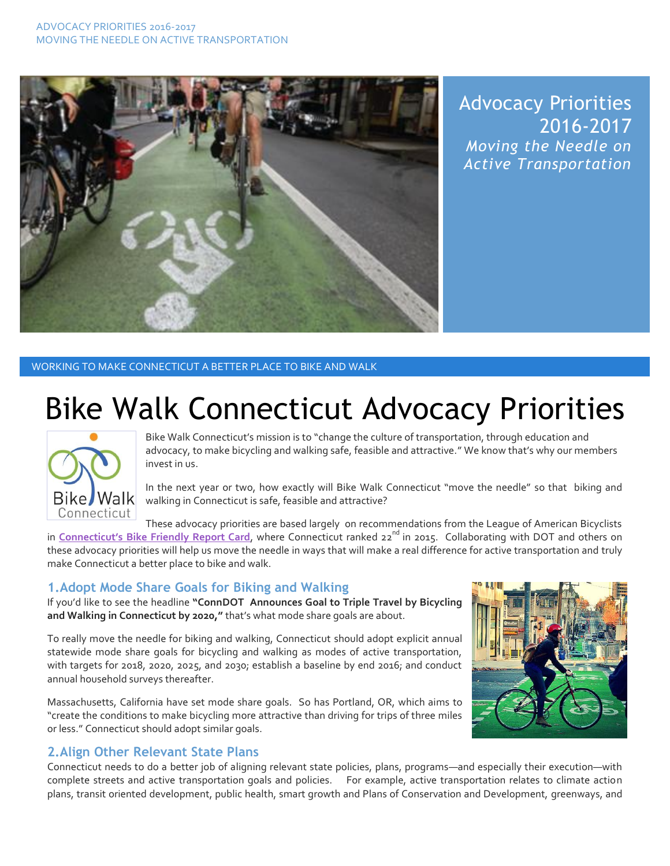

Advocacy Priorities 2016-2017 *Moving the Needle on Active Transportation*

#### WORKING TO MAKE CONNECTICUT A BETTER PLACE TO BIKE AND WALK

# Bike Walk Connecticut Advocacy Priorities



Bike Walk Connecticut's mission is to "change the culture of transportation, through education and advocacy, to make bicycling and walking safe, feasible and attractive." We know that's why our members invest in us.

In the next year or two, how exactly will Bike Walk Connecticut "move the needle" so that biking and walking in Connecticut is safe, feasible and attractive?

These advocacy priorities are based largely on recommendations from the League of American Bicyclists in **Connecticut's [Bike Friendly Report Card](http://bikeleague.org/sites/default/files/BFS2015_Connecticut.pdf)**, where Connecticut ranked 22<sup>nd</sup> in 2015. Collaborating with DOT and others on these advocacy priorities will help us move the needle in ways that will make a real difference for active transportation and truly make Connecticut a better place to bike and walk.

## **1.Adopt Mode Share Goals for Biking and Walking**

If you'd like to see the headline **"ConnDOT Announces Goal to Triple Travel by Bicycling and Walking in Connecticut by 2020,"** that's what mode share goals are about.

To really move the needle for biking and walking, Connecticut should adopt explicit annual statewide mode share goals for bicycling and walking as modes of active transportation, with targets for 2018, 2020, 2025, and 2030; establish a baseline by end 2016; and conduct annual household surveys thereafter.

Massachusetts, California have set mode share goals. So has Portland, OR, which aims to "create the conditions to make bicycling more attractive than driving for trips of three miles or less." Connecticut should adopt similar goals.

## **2.Align Other Relevant State Plans**

Connecticut needs to do a better job of aligning relevant state policies, plans, programs—and especially their execution—with complete streets and active transportation goals and policies. For example, active transportation relates to climate action plans, transit oriented development, public health, smart growth and Plans of Conservation and Development, greenways, and